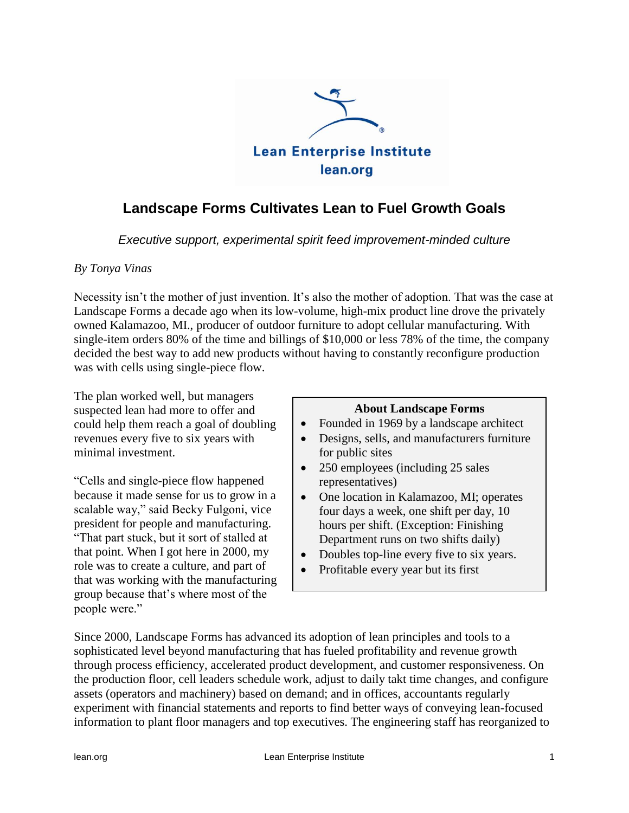

# **Landscape Forms Cultivates Lean to Fuel Growth Goals**

*Executive support, experimental spirit feed improvement-minded culture*

#### *By Tonya Vinas*

Necessity isn't the mother of just invention. It's also the mother of adoption. That was the case at Landscape Forms a decade ago when its low-volume, high-mix product line drove the privately owned Kalamazoo, MI., producer of outdoor furniture to adopt cellular manufacturing. With single-item orders 80% of the time and billings of \$10,000 or less 78% of the time, the company decided the best way to add new products without having to constantly reconfigure production was with cells using single-piece flow.

The plan worked well, but managers suspected lean had more to offer and could help them reach a goal of doubling revenues every five to six years with minimal investment.

"Cells and single-piece flow happened because it made sense for us to grow in a scalable way," said Becky Fulgoni, vice president for people and manufacturing. "That part stuck, but it sort of stalled at that point. When I got here in 2000, my role was to create a culture, and part of that was working with the manufacturing group because that"s where most of the people were."

#### **About Landscape Forms**

- Founded in 1969 by a landscape architect
- Designs, sells, and manufacturers furniture for public sites
- 250 employees (including 25 sales representatives)
- One location in Kalamazoo, MI; operates four days a week, one shift per day, 10 hours per shift. (Exception: Finishing Department runs on two shifts daily)
- Doubles top-line every five to six years.
- Profitable every year but its first

Since 2000, Landscape Forms has advanced its adoption of lean principles and tools to a sophisticated level beyond manufacturing that has fueled profitability and revenue growth through process efficiency, accelerated product development, and customer responsiveness. On the production floor, cell leaders schedule work, adjust to daily takt time changes, and configure assets (operators and machinery) based on demand; and in offices, accountants regularly experiment with financial statements and reports to find better ways of conveying lean-focused information to plant floor managers and top executives. The engineering staff has reorganized to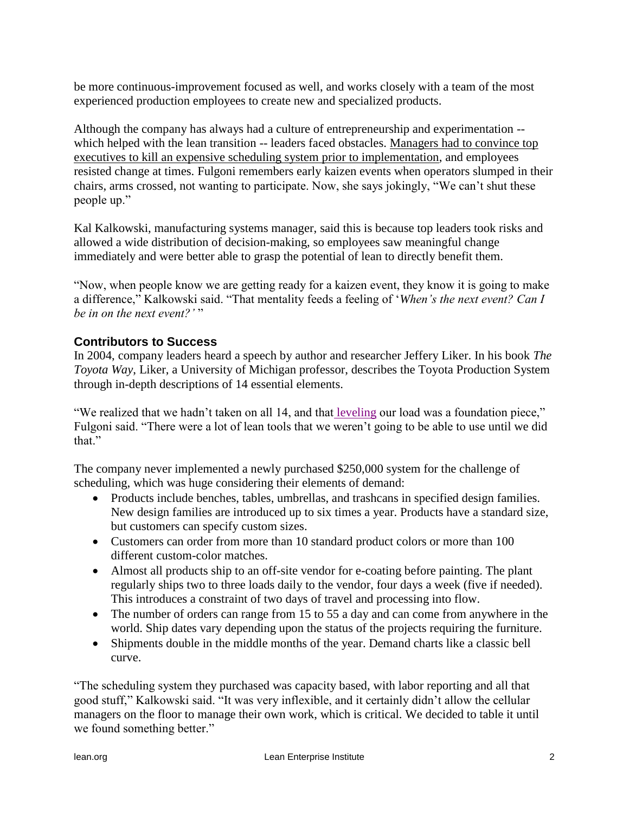be more continuous-improvement focused as well, and works closely with a team of the most experienced production employees to create new and specialized products.

Although the company has always had a culture of entrepreneurship and experimentation - which helped with the lean transition -- leaders faced obstacles. Managers had to convince top executives to kill an expensive scheduling system prior to implementation, and employees resisted change at times. Fulgoni remembers early kaizen events when operators slumped in their chairs, arms crossed, not wanting to participate. Now, she says jokingly, "We can"t shut these people up."

Kal Kalkowski, manufacturing systems manager, said this is because top leaders took risks and allowed a wide distribution of decision-making, so employees saw meaningful change immediately and were better able to grasp the potential of lean to directly benefit them.

"Now, when people know we are getting ready for a kaizen event, they know it is going to make a difference," Kalkowski said. "That mentality feeds a feeling of "*When's the next event? Can I be in on the next event?'* "

### **Contributors to Success**

In 2004, company leaders heard a speech by author and researcher Jeffery Liker. In his book *The Toyota Way*, Liker, a University of Michigan professor, describes the Toyota Production System through in-depth descriptions of 14 essential elements.

"We realized that we hadn"t taken on all 14, and that [leveling](#page-5-0) our load was a foundation piece," Fulgoni said. "There were a lot of lean tools that we weren't going to be able to use until we did that."

The company never implemented a newly purchased \$250,000 system for the challenge of scheduling, which was huge considering their elements of demand:

- Products include benches, tables, umbrellas, and trashcans in specified design families. New design families are introduced up to six times a year. Products have a standard size, but customers can specify custom sizes.
- Customers can order from more than 10 standard product colors or more than 100 different custom-color matches.
- Almost all products ship to an off-site vendor for e-coating before painting. The plant regularly ships two to three loads daily to the vendor, four days a week (five if needed). This introduces a constraint of two days of travel and processing into flow.
- The number of orders can range from 15 to 55 a day and can come from anywhere in the world. Ship dates vary depending upon the status of the projects requiring the furniture.
- Shipments double in the middle months of the year. Demand charts like a classic bell curve.

"The scheduling system they purchased was capacity based, with labor reporting and all that good stuff," Kalkowski said. "It was very inflexible, and it certainly didn"t allow the cellular managers on the floor to manage their own work, which is critical. We decided to table it until we found something better."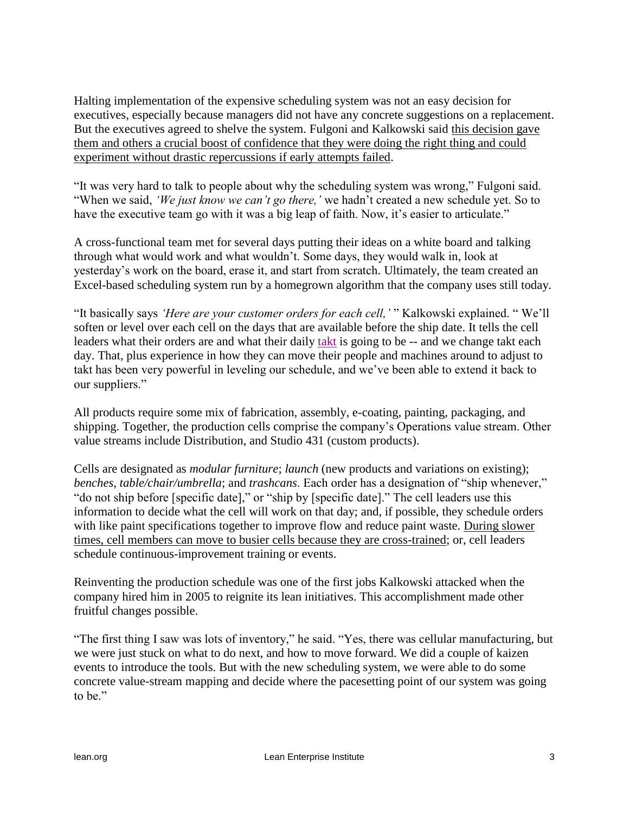Halting implementation of the expensive scheduling system was not an easy decision for executives, especially because managers did not have any concrete suggestions on a replacement. But the executives agreed to shelve the system. Fulgoni and Kalkowski said this decision gave them and others a crucial boost of confidence that they were doing the right thing and could experiment without drastic repercussions if early attempts failed.

"It was very hard to talk to people about why the scheduling system was wrong," Fulgoni said. "When we said, *'We just know we can't go there,'* we hadn"t created a new schedule yet. So to have the executive team go with it was a big leap of faith. Now, it's easier to articulate."

A cross-functional team met for several days putting their ideas on a white board and talking through what would work and what wouldn"t. Some days, they would walk in, look at yesterday"s work on the board, erase it, and start from scratch. Ultimately, the team created an Excel-based scheduling system run by a homegrown algorithm that the company uses still today.

"It basically says *'Here are your customer orders for each cell,'* " Kalkowski explained. " We"ll soften or level over each cell on the days that are available before the ship date. It tells the cell leaders what their orders are and what their daily [takt](#page-6-0) is going to be -- and we change takt each day. That, plus experience in how they can move their people and machines around to adjust to takt has been very powerful in leveling our schedule, and we"ve been able to extend it back to our suppliers."

All products require some mix of fabrication, assembly, e-coating, painting, packaging, and shipping. Together, the production cells comprise the company"s Operations value stream. Other value streams include Distribution, and Studio 431 (custom products).

Cells are designated as *modular furniture*; *launch* (new products and variations on existing); *benches*, *table/chair/umbrella*; and *trashcans*. Each order has a designation of "ship whenever," "do not ship before [specific date]," or "ship by [specific date]." The cell leaders use this information to decide what the cell will work on that day; and, if possible, they schedule orders with like paint specifications together to improve flow and reduce paint waste. During slower times, cell members can move to busier cells because they are cross-trained; or, cell leaders schedule continuous-improvement training or events.

Reinventing the production schedule was one of the first jobs Kalkowski attacked when the company hired him in 2005 to reignite its lean initiatives. This accomplishment made other fruitful changes possible.

"The first thing I saw was lots of inventory," he said. "Yes, there was cellular manufacturing, but we were just stuck on what to do next, and how to move forward. We did a couple of kaizen events to introduce the tools. But with the new scheduling system, we were able to do some concrete value-stream mapping and decide where the pacesetting point of our system was going to be."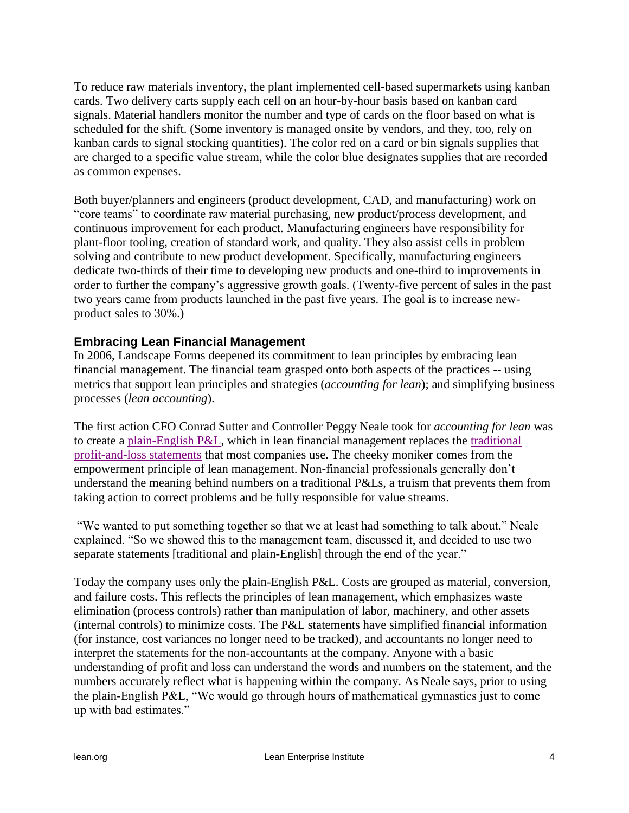To reduce raw materials inventory, the plant implemented cell-based supermarkets using kanban cards. Two delivery carts supply each cell on an hour-by-hour basis based on kanban card signals. Material handlers monitor the number and type of cards on the floor based on what is scheduled for the shift. (Some inventory is managed onsite by vendors, and they, too, rely on kanban cards to signal stocking quantities). The color red on a card or bin signals supplies that are charged to a specific value stream, while the color blue designates supplies that are recorded as common expenses.

Both buyer/planners and engineers (product development, CAD, and manufacturing) work on "core teams" to coordinate raw material purchasing, new product/process development, and continuous improvement for each product. Manufacturing engineers have responsibility for plant-floor tooling, creation of standard work, and quality. They also assist cells in problem solving and contribute to new product development. Specifically, manufacturing engineers dedicate two-thirds of their time to developing new products and one-third to improvements in order to further the company"s aggressive growth goals. (Twenty-five percent of sales in the past two years came from products launched in the past five years. The goal is to increase newproduct sales to 30%.)

### **Embracing Lean Financial Management**

In 2006, Landscape Forms deepened its commitment to lean principles by embracing lean financial management. The financial team grasped onto both aspects of the practices -- using metrics that support lean principles and strategies (*accounting for lean*); and simplifying business processes (*lean accounting*).

The first action CFO Conrad Sutter and Controller Peggy Neale took for *accounting for lean* was to create a [plain-English P&L,](http://www.lean.org/downloads/plain_english.pdf) which in lean financial management replaces the [traditional](http://www.lean.org/downloads/traditional.pdf)  [profit-and-loss statements](http://www.lean.org/downloads/traditional.pdf) that most companies use. The cheeky moniker comes from the empowerment principle of lean management. Non-financial professionals generally don"t understand the meaning behind numbers on a traditional P&Ls, a truism that prevents them from taking action to correct problems and be fully responsible for value streams.

"We wanted to put something together so that we at least had something to talk about," Neale explained. "So we showed this to the management team, discussed it, and decided to use two separate statements [traditional and plain-English] through the end of the year."

Today the company uses only the plain-English P&L. Costs are grouped as material, conversion, and failure costs. This reflects the principles of lean management, which emphasizes waste elimination (process controls) rather than manipulation of labor, machinery, and other assets (internal controls) to minimize costs. The P&L statements have simplified financial information (for instance, cost variances no longer need to be tracked), and accountants no longer need to interpret the statements for the non-accountants at the company. Anyone with a basic understanding of profit and loss can understand the words and numbers on the statement, and the numbers accurately reflect what is happening within the company. As Neale says, prior to using the plain-English P&L, "We would go through hours of mathematical gymnastics just to come up with bad estimates."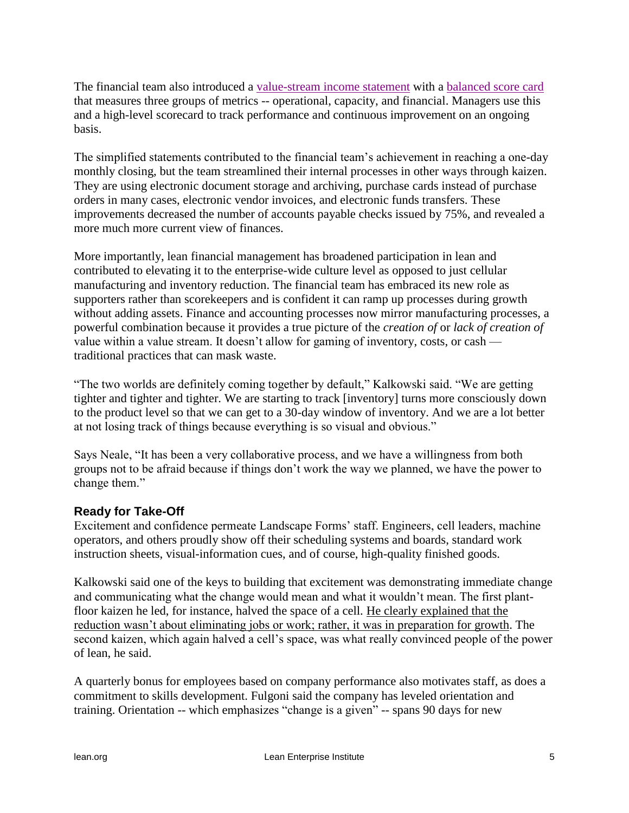The financial team also introduced a [value-stream income statement](http://www.lean.org/downloads/value_st.pdf) with a [balanced score card](http://www.lean.org/downloads/lf_scoreboard_presentation.pdf) that measures three groups of metrics -- operational, capacity, and financial. Managers use this and a high-level scorecard to track performance and continuous improvement on an ongoing basis.

The simplified statements contributed to the financial team's achievement in reaching a one-day monthly closing, but the team streamlined their internal processes in other ways through kaizen. They are using electronic document storage and archiving, purchase cards instead of purchase orders in many cases, electronic vendor invoices, and electronic funds transfers. These improvements decreased the number of accounts payable checks issued by 75%, and revealed a more much more current view of finances.

More importantly, lean financial management has broadened participation in lean and contributed to elevating it to the enterprise-wide culture level as opposed to just cellular manufacturing and inventory reduction. The financial team has embraced its new role as supporters rather than scorekeepers and is confident it can ramp up processes during growth without adding assets. Finance and accounting processes now mirror manufacturing processes, a powerful combination because it provides a true picture of the *creation of* or *lack of creation of*  value within a value stream. It doesn"t allow for gaming of inventory, costs, or cash traditional practices that can mask waste.

"The two worlds are definitely coming together by default," Kalkowski said. "We are getting tighter and tighter and tighter. We are starting to track [inventory] turns more consciously down to the product level so that we can get to a 30-day window of inventory. And we are a lot better at not losing track of things because everything is so visual and obvious."

Says Neale, "It has been a very collaborative process, and we have a willingness from both groups not to be afraid because if things don"t work the way we planned, we have the power to change them."

### **Ready for Take-Off**

Excitement and confidence permeate Landscape Forms" staff. Engineers, cell leaders, machine operators, and others proudly show off their scheduling systems and boards, standard work instruction sheets, visual-information cues, and of course, high-quality finished goods.

Kalkowski said one of the keys to building that excitement was demonstrating immediate change and communicating what the change would mean and what it wouldn"t mean. The first plantfloor kaizen he led, for instance, halved the space of a cell. He clearly explained that the reduction wasn't about eliminating jobs or work; rather, it was in preparation for growth. The second kaizen, which again halved a cell"s space, was what really convinced people of the power of lean, he said.

A quarterly bonus for employees based on company performance also motivates staff, as does a commitment to skills development. Fulgoni said the company has leveled orientation and training. Orientation -- which emphasizes "change is a given" -- spans 90 days for new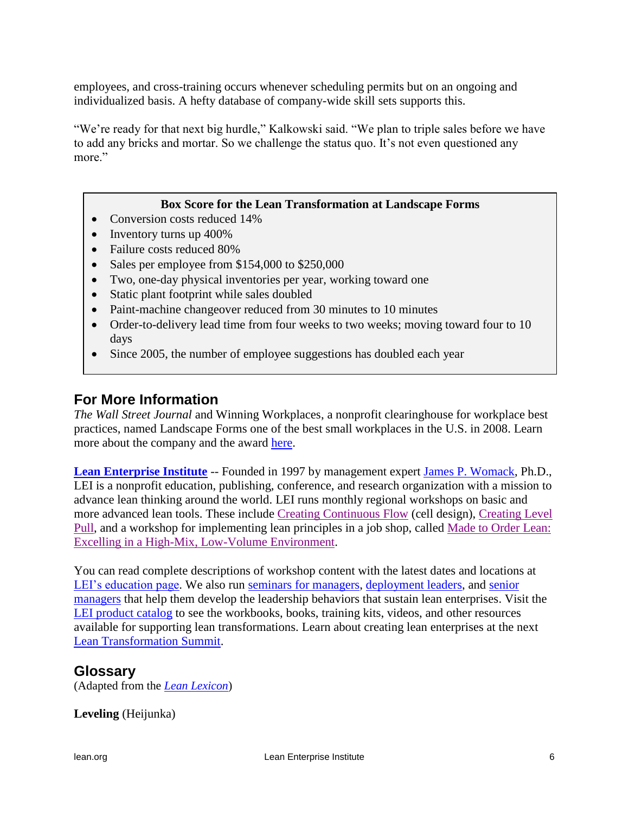employees, and cross-training occurs whenever scheduling permits but on an ongoing and individualized basis. A hefty database of company-wide skill sets supports this.

"We're ready for that next big hurdle," Kalkowski said. "We plan to triple sales before we have to add any bricks and mortar. So we challenge the status quo. It's not even questioned any more."

#### **Box Score for the Lean Transformation at Landscape Forms**

- Conversion costs reduced 14%
- $\bullet$  Inventory turns up 400%
- Failure costs reduced 80%
- Sales per employee from \$154,000 to \$250,000
- Two, one-day physical inventories per year, working toward one
- Static plant footprint while sales doubled
- Paint-machine changeover reduced from 30 minutes to 10 minutes
- Order-to-delivery lead time from four weeks to two weeks; moving toward four to 10 days
- Since 2005, the number of employee suggestions has doubled each year

## **For More Information**

*The Wall Street Journal* and Winning Workplaces, a nonprofit clearinghouse for workplace best practices, named Landscape Forms one of the best small workplaces in the U.S. in 2008. Learn more about the company and the award [here.](http://www.landscapeforms.com/en-us/AboutUs/Pages/OurStory.aspx)

**[Lean Enterprise Institute](http://lean.org/)** -- Founded in 1997 by management expert [James P. Womack,](http://www.lean.org/WhoWeAre/LeanPerson.cfm?LeanPersonId=1) Ph.D., LEI is a nonprofit education, publishing, conference, and research organization with a mission to advance lean thinking around the world. LEI runs monthly regional workshops on basic and more advanced lean tools. These include [Creating Continuous Flow](http://www.lean.org/Workshops/WorkshopDescription.cfm?WorkshopId=3) (cell design), [Creating Level](http://www.lean.org/Workshops/WorkshopDescription.cfm?WorkshopId=11)  [Pull,](http://www.lean.org/Workshops/WorkshopDescription.cfm?WorkshopId=11) and a workshop for implementing lean principles in a job shop, called [Made to Order Lean:](http://www.lean.org/Workshops/WorkshopDescription.cfm?WorkshopId=18)  [Excelling in a High-Mix, Low-Volume Environment.](http://www.lean.org/Workshops/WorkshopDescription.cfm?WorkshopId=18)

You can read complete descriptions of workshop content with the latest dates and locations at LEI's education page. We also run [seminars for managers,](http://www.lean.org/lei_lean_management_seminars.html) [deployment leaders,](http://www.lean.org/Events/deployment_seminar.cfm) and senior [managers](http://www.lean.org/Events/executive_forum.cfm) that help them develop the leadership behaviors that sustain lean enterprises. Visit the [LEI product catalog](http://www.lean.org/BookStore/ProductCatalog.cfm) to see the workbooks, books, training kits, videos, and other resources available for supporting lean transformations. Learn about creating lean enterprises at the next [Lean Transformation Summit.](http://www.lean.org/Summits/)

### **Glossary**

(Adapted from the *[Lean Lexicon](http://www.lean.org/Bookstore/ProductDetails.cfm?SelectedProductID=83)*)

<span id="page-5-0"></span>**Leveling** (Heijunka)